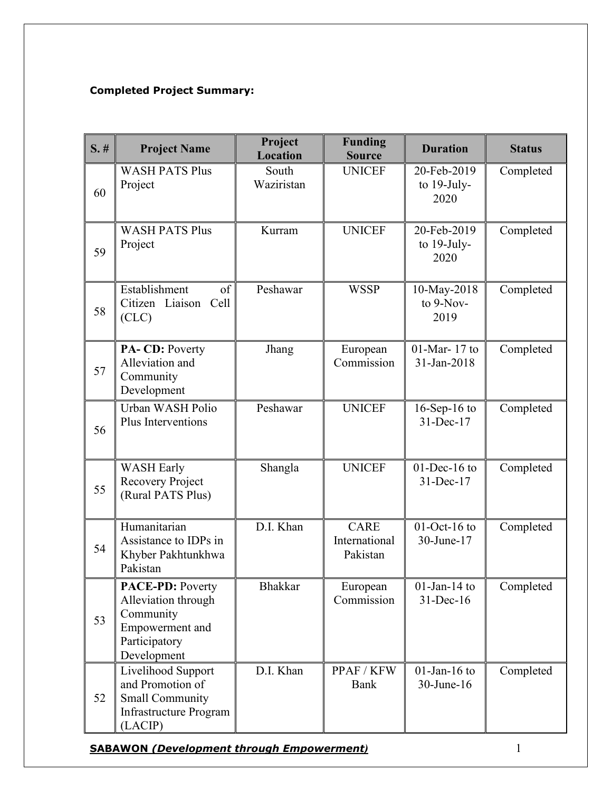## Completed Project Summary:

| $S.$ # | <b>Project Name</b>                                                                                            | Project<br>Location | <b>Funding</b><br><b>Source</b>          | <b>Duration</b>                       | <b>Status</b> |
|--------|----------------------------------------------------------------------------------------------------------------|---------------------|------------------------------------------|---------------------------------------|---------------|
| 60     | <b>WASH PATS Plus</b><br>Project                                                                               | South<br>Waziristan | <b>UNICEF</b>                            | 20-Feb-2019<br>to $19$ -July-<br>2020 | Completed     |
| 59     | <b>WASH PATS Plus</b><br>Project                                                                               | Kurram              | <b>UNICEF</b>                            | 20-Feb-2019<br>to 19-July-<br>2020    | Completed     |
| 58     | Establishment<br>of<br>Citizen Liaison Cell<br>(CLC)                                                           | Peshawar            | <b>WSSP</b>                              | 10-May-2018<br>to 9-Nov-<br>2019      | Completed     |
| 57     | PA-CD: Poverty<br>Alleviation and<br>Community<br>Development                                                  | Jhang               | European<br>Commission                   | 01-Mar-17 to<br>31-Jan-2018           | Completed     |
| 56     | Urban WASH Polio<br>Plus Interventions                                                                         | Peshawar            | <b>UNICEF</b>                            | $16$ -Sep- $16$ to<br>31-Dec-17       | Completed     |
| 55     | <b>WASH Early</b><br>Recovery Project<br>(Rural PATS Plus)                                                     | Shangla             | <b>UNICEF</b>                            | $01$ -Dec-16 to<br>31-Dec-17          | Completed     |
| 54     | Humanitarian<br>Assistance to IDPs in<br>Khyber Pakhtunkhwa<br>Pakistan                                        | D.I. Khan           | <b>CARE</b><br>International<br>Pakistan | $01$ -Oct-16 to<br>30-June-17         | Completed     |
| 53     | <b>PACE-PD: Poverty</b><br>Alleviation through<br>Community<br>Empowerment and<br>Participatory<br>Development | <b>Bhakkar</b>      | European<br>Commission                   | $01$ -Jan-14 to<br>$31$ -Dec-16       | Completed     |
| 52     | Livelihood Support<br>and Promotion of<br><b>Small Community</b><br>Infrastructure Program<br>(LACIP)          | D.I. Khan           | PPAF / KFW<br>Bank                       | $01$ -Jan-16 to<br>30-June-16         | Completed     |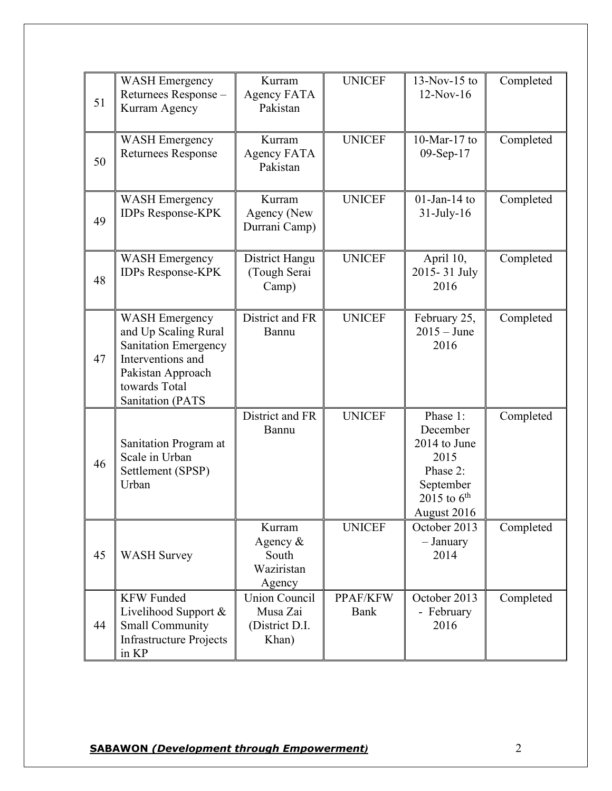| 51 | <b>WASH Emergency</b><br>Returnees Response -<br>Kurram Agency                                                                                                     | Kurram<br>Agency FATA<br>Pakistan                           | <b>UNICEF</b>    | $13-Nov-15$ to<br>$12-Nov-16$                                                                            | Completed |
|----|--------------------------------------------------------------------------------------------------------------------------------------------------------------------|-------------------------------------------------------------|------------------|----------------------------------------------------------------------------------------------------------|-----------|
| 50 | <b>WASH Emergency</b><br><b>Returnees Response</b>                                                                                                                 | Kurram<br>Agency FATA<br>Pakistan                           | <b>UNICEF</b>    | $10$ -Mar- $17$ to<br>09-Sep-17                                                                          | Completed |
| 49 | <b>WASH Emergency</b><br><b>IDPs Response-KPK</b>                                                                                                                  | Kurram<br>Agency (New<br>Durrani Camp)                      | <b>UNICEF</b>    | $01$ -Jan-14 to<br>$31$ -July-16                                                                         | Completed |
| 48 | <b>WASH Emergency</b><br><b>IDPs Response-KPK</b>                                                                                                                  | District Hangu<br>(Tough Serai<br>Camp)                     | <b>UNICEF</b>    | April 10,<br>2015-31 July<br>2016                                                                        | Completed |
| 47 | <b>WASH Emergency</b><br>and Up Scaling Rural<br><b>Sanitation Emergency</b><br>Interventions and<br>Pakistan Approach<br>towards Total<br><b>Sanitation (PATS</b> | District and FR<br>Bannu                                    | <b>UNICEF</b>    | February 25,<br>$2015 - June$<br>2016                                                                    | Completed |
| 46 | Sanitation Program at<br>Scale in Urban<br>Settlement (SPSP)<br>Urban                                                                                              | District and FR<br>Bannu                                    | <b>UNICEF</b>    | Phase 1:<br>December<br>2014 to June<br>2015<br>Phase 2:<br>September<br>2015 to $6^{th}$<br>August 2016 | Completed |
| 45 | <b>WASH Survey</b>                                                                                                                                                 | Kurram<br>Agency $\&$<br>South<br>Waziristan<br>Agency      | <b>UNICEF</b>    | October 2013<br>- January<br>2014                                                                        | Completed |
| 44 | <b>KFW Funded</b><br>Livelihood Support &<br><b>Small Community</b><br><b>Infrastructure Projects</b><br>in KP                                                     | <b>Union Council</b><br>Musa Zai<br>(District D.I.<br>Khan) | PPAF/KFW<br>Bank | October 2013<br>- February<br>2016                                                                       | Completed |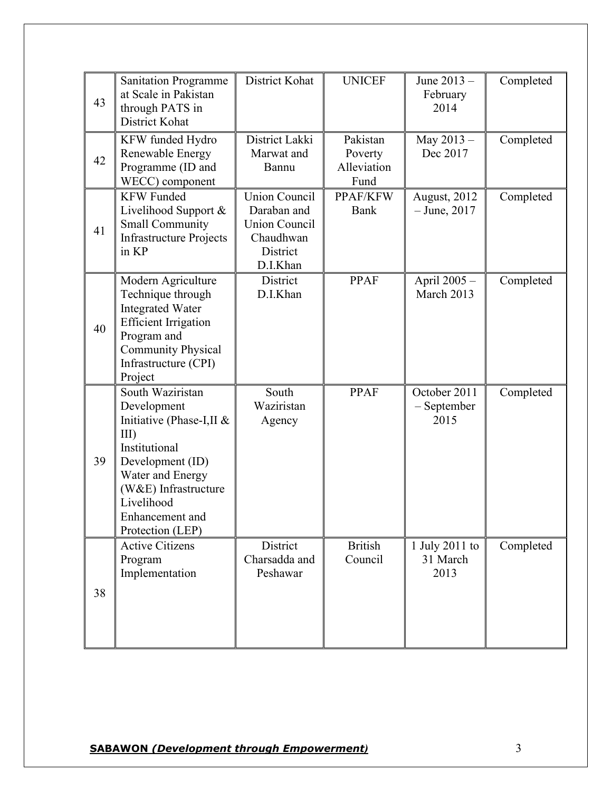| 43 | <b>Sanitation Programme</b><br>at Scale in Pakistan<br>through PATS in<br>District Kohat                                                                                                                     | District Kohat                                                                                   | <b>UNICEF</b>                              | June 2013 -<br>February<br>2014     | Completed |
|----|--------------------------------------------------------------------------------------------------------------------------------------------------------------------------------------------------------------|--------------------------------------------------------------------------------------------------|--------------------------------------------|-------------------------------------|-----------|
| 42 | KFW funded Hydro<br>Renewable Energy<br>Programme (ID and<br>WECC) component                                                                                                                                 | District Lakki<br>Marwat and<br>Bannu                                                            | Pakistan<br>Poverty<br>Alleviation<br>Fund | May 2013-<br>Dec 2017               | Completed |
| 41 | <b>KFW Funded</b><br>Livelihood Support &<br><b>Small Community</b><br><b>Infrastructure Projects</b><br>in KP                                                                                               | <b>Union Council</b><br>Daraban and<br><b>Union Council</b><br>Chaudhwan<br>District<br>D.I.Khan | PPAF/KFW<br>Bank                           | August, 2012<br>$-$ June, 2017      | Completed |
| 40 | Modern Agriculture<br>Technique through<br><b>Integrated Water</b><br><b>Efficient Irrigation</b><br>Program and<br><b>Community Physical</b><br>Infrastructure (CPI)<br>Project                             | District<br>D.I.Khan                                                                             | <b>PPAF</b>                                | April 2005 -<br>March 2013          | Completed |
| 39 | South Waziristan<br>Development<br>Initiative (Phase-I,II &<br>$III$ )<br>Institutional<br>Development (ID)<br>Water and Energy<br>(W&E) Infrastructure<br>Livelihood<br>Enhancement and<br>Protection (LEP) | South<br>Waziristan<br>Agency                                                                    | <b>PPAF</b>                                | October 2011<br>- September<br>2015 | Completed |
| 38 | <b>Active Citizens</b><br>Program<br>Implementation                                                                                                                                                          | District<br>Charsadda and<br>Peshawar                                                            | <b>British</b><br>Council                  | 1 July 2011 to<br>31 March<br>2013  | Completed |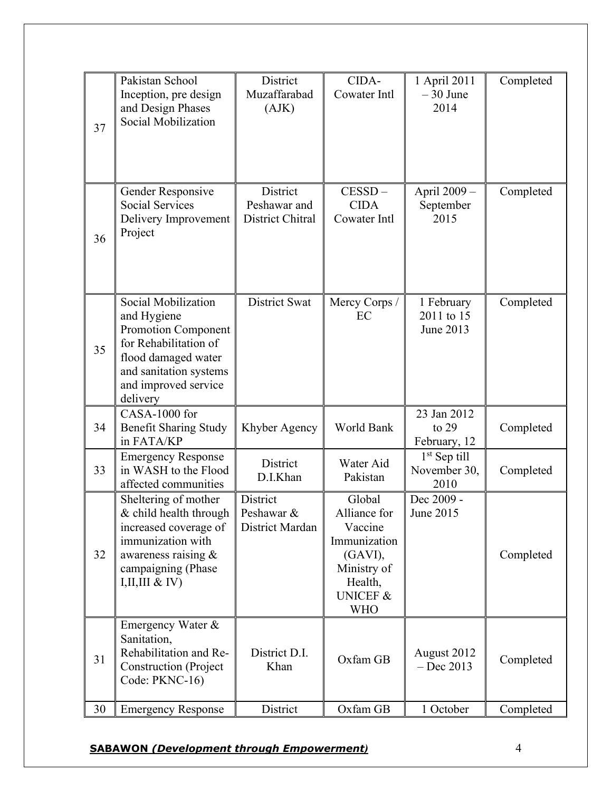| 37 | Pakistan School<br>Inception, pre design<br>and Design Phases<br>Social Mobilization                                                                                           | District<br>Muzaffarabad<br>(AJK)            | CIDA-<br>Cowater Intl                                                                                                       | 1 April 2011<br>$-30$ June<br>2014     | Completed |
|----|--------------------------------------------------------------------------------------------------------------------------------------------------------------------------------|----------------------------------------------|-----------------------------------------------------------------------------------------------------------------------------|----------------------------------------|-----------|
| 36 | Gender Responsive<br><b>Social Services</b><br>Delivery Improvement<br>Project                                                                                                 | District<br>Peshawar and<br>District Chitral | $CESSD -$<br><b>CIDA</b><br>Cowater Intl                                                                                    | April 2009 -<br>September<br>2015      | Completed |
| 35 | Social Mobilization<br>and Hygiene<br><b>Promotion Component</b><br>for Rehabilitation of<br>flood damaged water<br>and sanitation systems<br>and improved service<br>delivery | <b>District Swat</b>                         | Mercy Corps /<br>EC                                                                                                         | 1 February<br>2011 to 15<br>June 2013  | Completed |
| 34 | CASA-1000 for<br><b>Benefit Sharing Study</b><br>in FATA/KP                                                                                                                    | Khyber Agency                                | World Bank                                                                                                                  | 23 Jan 2012<br>to $29$<br>February, 12 | Completed |
| 33 | <b>Emergency Response</b><br>in WASH to the Flood<br>affected communities                                                                                                      | District<br>D.I.Khan                         | Water Aid<br>Pakistan                                                                                                       | $1st$ Sep till<br>November 30,<br>2010 | Completed |
| 32 | Sheltering of mother<br>& child health through<br>increased coverage of<br>immunization with<br>awareness raising &<br>campaigning (Phase<br>I, II, III & IV)                  | District<br>Peshawar &<br>District Mardan    | Global<br>Alliance for<br>Vaccine<br>Immunization<br>(GAVI),<br>Ministry of<br>Health,<br><b>UNICEF &amp;</b><br><b>WHO</b> | Dec 2009 -<br>June 2015                | Completed |
| 31 | Emergency Water &<br>Sanitation,<br>Rehabilitation and Re-<br><b>Construction</b> (Project<br>Code: PKNC-16)                                                                   | District D.I.<br>Khan                        | Oxfam GB                                                                                                                    | August 2012<br>$-$ Dec 2013            | Completed |
| 30 | <b>Emergency Response</b>                                                                                                                                                      | District                                     | Oxfam GB                                                                                                                    | 1 October                              | Completed |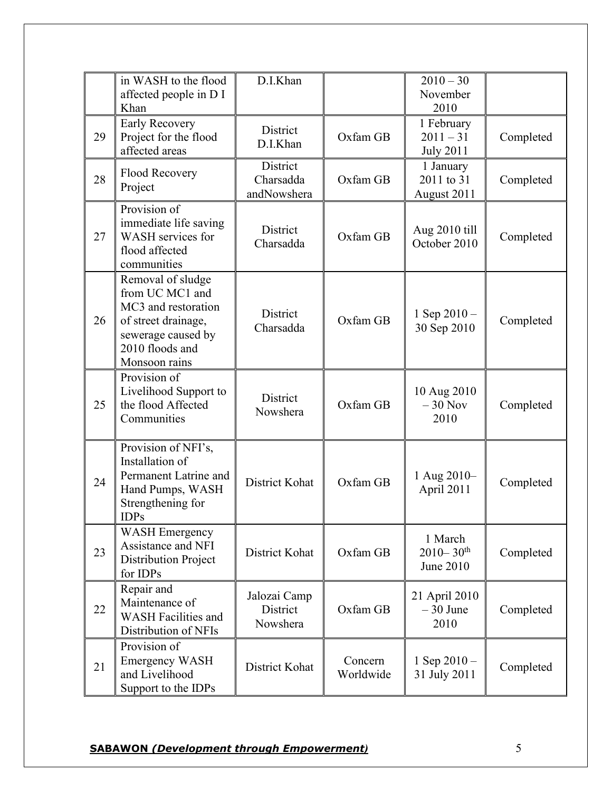|    | in WASH to the flood<br>affected people in D I<br>Khan                                                                                       | D.I.Khan                             |                      | $2010 - 30$<br>November<br>2010                          |           |
|----|----------------------------------------------------------------------------------------------------------------------------------------------|--------------------------------------|----------------------|----------------------------------------------------------|-----------|
| 29 | <b>Early Recovery</b><br>Project for the flood<br>affected areas                                                                             | District<br>D.I.Khan                 | Oxfam GB             | 1 February<br>$2011 - 31$<br><b>July 2011</b>            | Completed |
| 28 | <b>Flood Recovery</b><br>Project                                                                                                             | District<br>Charsadda<br>andNowshera | Oxfam GB             | 1 January<br>2011 to 31<br>August 2011                   | Completed |
| 27 | Provision of<br>immediate life saving<br>WASH services for<br>flood affected<br>communities                                                  | District<br>Charsadda                | Oxfam GB             | Aug 2010 till<br>October 2010                            | Completed |
| 26 | Removal of sludge<br>from UC MC1 and<br>MC3 and restoration<br>of street drainage,<br>sewerage caused by<br>2010 floods and<br>Monsoon rains | District<br>Charsadda                | Oxfam GB             | 1 Sep $2010 -$<br>30 Sep 2010                            | Completed |
| 25 | Provision of<br>Livelihood Support to<br>the flood Affected<br>Communities                                                                   | District<br>Nowshera                 | Oxfam GB             | 10 Aug 2010<br>$-30$ Nov<br>2010                         | Completed |
| 24 | Provision of NFI's,<br>Installation of<br>Permanent Latrine and<br>Hand Pumps, WASH<br>Strengthening for<br>IDPs                             | District Kohat                       | Oxfam GB             | 1 Aug 2010-<br>April 2011                                | Completed |
| 23 | <b>WASH Emergency</b><br>Assistance and NFI<br>Distribution Project<br>for IDPs                                                              | District Kohat                       | Oxfam GB             | 1 March<br>$2010 - 30$ <sup>th</sup><br><b>June 2010</b> | Completed |
| 22 | Repair and<br>Maintenance of<br><b>WASH Facilities and</b><br>Distribution of NFIs                                                           | Jalozai Camp<br>District<br>Nowshera | Oxfam GB             | 21 April 2010<br>$-30$ June<br>2010                      | Completed |
| 21 | Provision of<br><b>Emergency WASH</b><br>and Livelihood<br>Support to the IDPs                                                               | District Kohat                       | Concern<br>Worldwide | 1 Sep $2010 -$<br>31 July 2011                           | Completed |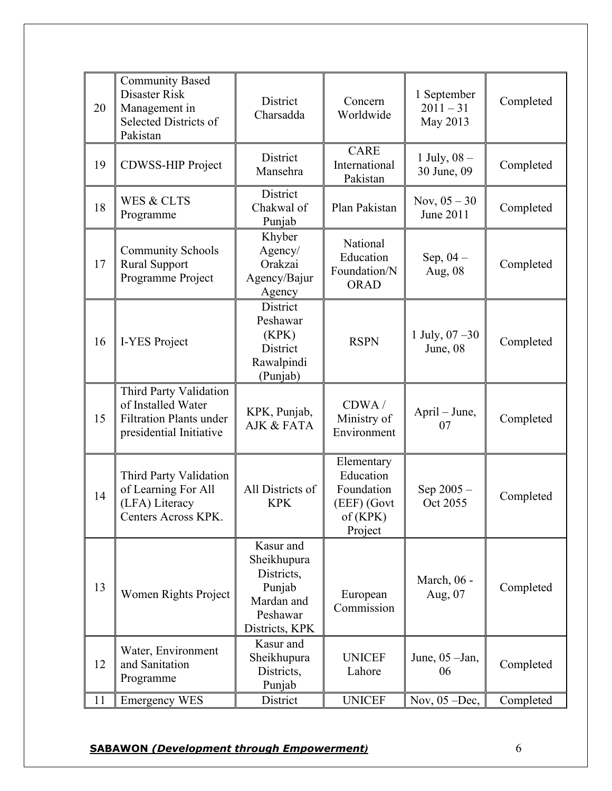| 20 | <b>Community Based</b><br>Disaster Risk<br>Management in<br>Selected Districts of<br>Pakistan             | District<br>Charsadda                                                                        | Concern<br>Worldwide                                                        | 1 September<br>$2011 - 31$<br>May 2013 | Completed |
|----|-----------------------------------------------------------------------------------------------------------|----------------------------------------------------------------------------------------------|-----------------------------------------------------------------------------|----------------------------------------|-----------|
| 19 | <b>CDWSS-HIP Project</b>                                                                                  | District<br>Mansehra                                                                         | <b>CARE</b><br>International<br>Pakistan                                    | 1 July, $08 -$<br>30 June, 09          | Completed |
| 18 | <b>WES &amp; CLTS</b><br>Programme                                                                        | District<br>Chakwal of<br>Punjab                                                             | Plan Pakistan                                                               | Nov, $05 - 30$<br>June 2011            | Completed |
| 17 | <b>Community Schools</b><br><b>Rural Support</b><br>Programme Project                                     | Khyber<br>Agency/<br>Orakzai<br>Agency/Bajur<br>Agency                                       | National<br>Education<br>Foundation/N<br><b>ORAD</b>                        | Sep, $04-$<br>Aug, 08                  | Completed |
| 16 | I-YES Project                                                                                             | District<br>Peshawar<br>(KPK)<br>District<br>Rawalpindi<br>(Punjab)                          | <b>RSPN</b>                                                                 | 1 July, $07 - 30$<br>June, 08          | Completed |
| 15 | Third Party Validation<br>of Installed Water<br><b>Filtration Plants under</b><br>presidential Initiative | KPK, Punjab,<br>AJK & FATA                                                                   | CDWA/<br>Ministry of<br>Environment                                         | April – June,<br>07                    | Completed |
| 14 | Third Party Validation<br>of Learning For All<br>(LFA) Literacy<br>Centers Across KPK.                    | All Districts of<br><b>KPK</b>                                                               | Elementary<br>Education<br>Foundation<br>(EEF) (Govt<br>of (KPK)<br>Project | Sep $2005 -$<br>Oct 2055               | Completed |
| 13 | Women Rights Project                                                                                      | Kasur and<br>Sheikhupura<br>Districts,<br>Punjab<br>Mardan and<br>Peshawar<br>Districts, KPK | European<br>Commission                                                      | March, 06 -<br>Aug, 07                 | Completed |
| 12 | Water, Environment<br>and Sanitation<br>Programme                                                         | Kasur and<br>Sheikhupura<br>Districts,<br>Punjab                                             | <b>UNICEF</b><br>Lahore                                                     | June, $05$ -Jan,<br>06                 | Completed |
| 11 | <b>Emergency WES</b>                                                                                      | District                                                                                     | <b>UNICEF</b>                                                               | Nov, $05 - Dec$ ,                      | Completed |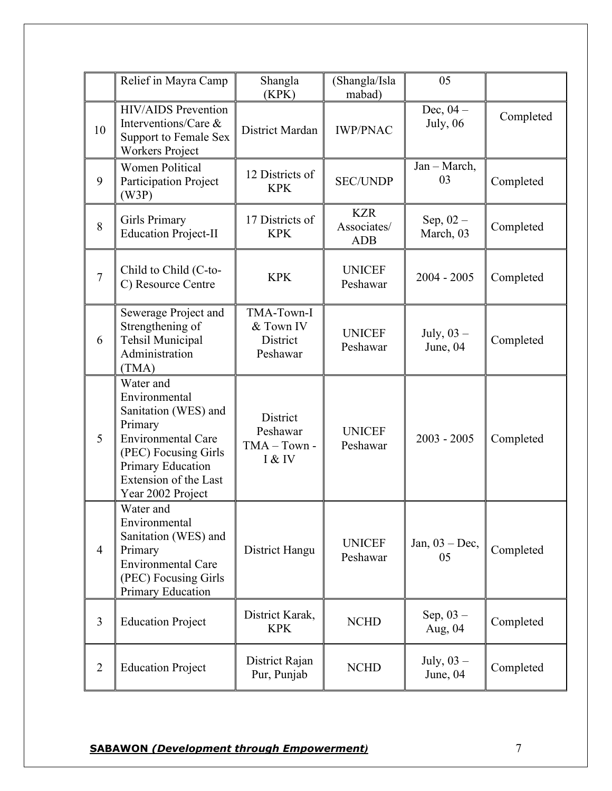|                | Relief in Mayra Camp                                                                                                                                                                  | Shangla<br>(KPK)                                 | (Shangla/Isla<br>mabad)                 | 05                       |           |
|----------------|---------------------------------------------------------------------------------------------------------------------------------------------------------------------------------------|--------------------------------------------------|-----------------------------------------|--------------------------|-----------|
| 10             | <b>HIV/AIDS</b> Prevention<br>Interventions/Care &<br>Support to Female Sex<br><b>Workers Project</b>                                                                                 | District Mardan                                  | <b>IWP/PNAC</b>                         | Dec, $04-$<br>July, 06   | Completed |
| 9              | <b>Women Political</b><br>Participation Project<br>(W3P)                                                                                                                              | 12 Districts of<br><b>KPK</b>                    | <b>SEC/UNDP</b>                         | Jan - March,<br>03       | Completed |
| 8              | <b>Girls Primary</b><br><b>Education Project-II</b>                                                                                                                                   | 17 Districts of<br><b>KPK</b>                    | <b>KZR</b><br>Associates/<br><b>ADB</b> | Sep, $02 -$<br>March, 03 | Completed |
| $\overline{7}$ | Child to Child (C-to-<br>C) Resource Centre                                                                                                                                           | <b>KPK</b>                                       | <b>UNICEF</b><br>Peshawar               | $2004 - 2005$            | Completed |
| 6              | Sewerage Project and<br>Strengthening of<br>Tehsil Municipal<br>Administration<br>(TMA)                                                                                               | TMA-Town-I<br>& Town IV<br>District<br>Peshawar  | <b>UNICEF</b><br>Peshawar               | July, $03 -$<br>June, 04 | Completed |
| 5              | Water and<br>Environmental<br>Sanitation (WES) and<br>Primary<br><b>Environmental Care</b><br>(PEC) Focusing Girls<br>Primary Education<br>Extension of the Last<br>Year 2002 Project | District<br>Peshawar<br>$TMA - Town -$<br>I & IV | <b>UNICEF</b><br>Peshawar               | $2003 - 2005$            | Completed |
| $\overline{4}$ | Water and<br>Environmental<br>Sanitation (WES) and<br>Primary<br><b>Environmental Care</b><br>(PEC) Focusing Girls<br>Primary Education                                               | District Hangu                                   | <b>UNICEF</b><br>Peshawar               | Jan, $03 - Dec$ ,<br>05  | Completed |
| $\overline{3}$ | <b>Education Project</b>                                                                                                                                                              | District Karak,<br><b>KPK</b>                    | <b>NCHD</b>                             | Sep, $03 -$<br>Aug, 04   | Completed |
| $\overline{2}$ | <b>Education Project</b>                                                                                                                                                              | District Rajan<br>Pur, Punjab                    | <b>NCHD</b>                             | July, $03 -$<br>June, 04 | Completed |